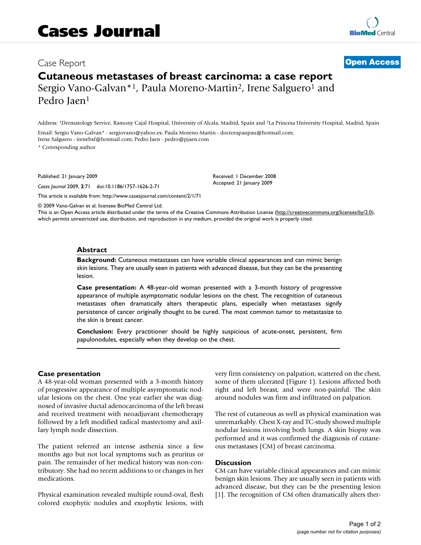# **Cutaneous metastases of breast carcinoma: a case report**

Sergio Vano-Galvan<sup>\*1</sup>, Paula Moreno-Martin<sup>2</sup>, Irene Salguero<sup>1</sup> and Pedro Jaen<sup>1</sup>

Address: 1Dermatology Service, Ramony Cajal Hospital, University of Alcala, Madrid, Spain and 2La Princesa University Hospital, Madrid, Spain

Email: Sergio Vano-Galvan\* - sergiovano@yahoo.es; Paula Moreno-Martin - doctorapaupau@hotmail.com; Irene Salguero - irenebsf@hotmail.com; Pedro Jaen - pedro@pjaen.com

\* Corresponding author

Published: 21 January 2009

*Cases Journal* 2009, **2**:71 doi:10.1186/1757-1626-2-71

[This article is available from: http://www.casesjournal.com/content/2/1/71](http://www.casesjournal.com/content/2/1/71)

Received: 1 December 2008 Accepted: 21 January 2009

© 2009 Vano-Galvan et al; licensee BioMed Central Ltd.

This is an Open Access article distributed under the terms of the Creative Commons Attribution License [\(http://creativecommons.org/licenses/by/2.0\)](http://creativecommons.org/licenses/by/2.0), which permits unrestricted use, distribution, and reproduction in any medium, provided the original work is properly cited.

### **Abstract**

**Background:** Cutaneous metastases can have variable clinical appearances and can mimic benign skin lesions. They are usually seen in patients with advanced disease, but they can be the presenting lesion.

**Case presentation:** A 48-year-old woman presented with a 3-month history of progressive appearance of multiple asymptomatic nodular lesions on the chest. The recognition of cutaneous metastases often dramatically alters therapeutic plans, especially when metastases signify persistence of cancer originally thought to be cured. The most common tumor to metastasize to the skin is breast cancer.

**Conclusion:** Every practitioner should be highly suspicious of acute-onset, persistent, firm papulonodules, especially when they develop on the chest.

### **Case presentation**

A 48-year-old woman presented with a 3-month history of progressive appearance of multiple asymptomatic nodular lesions on the chest. One year earlier she was diagnosed of invasive ductal adenocarcinoma of the left breast and received treatment with neoadjuvant chemotherapy followed by a left modified radical mastectomy and axillary lymph node dissection.

The patient referred an intense asthenia since a few months ago but not local symptoms such as pruritus or pain. The remainder of her medical history was non-contributory. She had no recent additions to or changes in her medications.

Physical examination revealed multiple round-oval, flesh colored exophytic nodules and exophytic lesions, with very firm consistency on palpation, scattered on the chest, some of them ulcerated (Figure 1). Lesions affected both right and left breast, and were non-painful. The skin around nodules was firm and infiltrated on palpation.

The rest of cutaneous as well as physical examination was unremarkably. Chest X-ray and TC-study showed multiple nodular lesions involving both lungs. A skin biopsy was performed and it was confirmed the diagnosis of cutaneous metastases (CM) of breast carcinoma.

### **Discussion**

CM can have variable clinical appearances and can mimic benign skin lesions. They are usually seen in patients with advanced disease, but they can be the presenting lesion [1]. The recognition of CM often dramatically alters ther-

## Case Report **[Open Access](http://www.biomedcentral.com/info/about/charter/)**